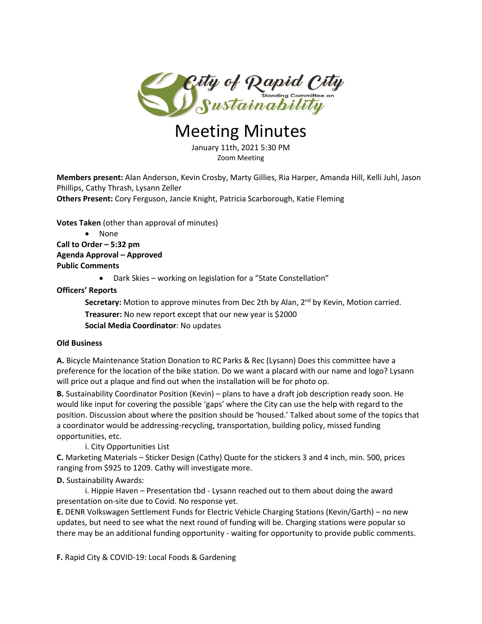

# Meeting Minutes

January 11th, 2021 5:30 PM Zoom Meeting

**Members present:** Alan Anderson, Kevin Crosby, Marty Gillies, Ria Harper, Amanda Hill, Kelli Juhl, Jason Phillips, Cathy Thrash, Lysann Zeller

**Others Present:** Cory Ferguson, Jancie Knight, Patricia Scarborough, Katie Fleming

**Votes Taken** (other than approval of minutes)

 None **Call to Order – 5:32 pm Agenda Approval – Approved Public Comments**

Dark Skies – working on legislation for a "State Constellation"

**Officers' Reports** 

Secretary: Motion to approve minutes from Dec 2th by Alan, 2<sup>nd</sup> by Kevin, Motion carried. **Treasurer:** No new report except that our new year is \$2000 **Social Media Coordinator**: No updates

# **Old Business**

**A.** Bicycle Maintenance Station Donation to RC Parks & Rec (Lysann) Does this committee have a preference for the location of the bike station. Do we want a placard with our name and logo? Lysann will price out a plaque and find out when the installation will be for photo op.

**B.** Sustainability Coordinator Position (Kevin) – plans to have a draft job description ready soon. He would like input for covering the possible 'gaps' where the City can use the help with regard to the position. Discussion about where the position should be 'housed.' Talked about some of the topics that a coordinator would be addressing-recycling, transportation, building policy, missed funding opportunities, etc.

i. City Opportunities List

**C.** Marketing Materials – Sticker Design (Cathy) Quote for the stickers 3 and 4 inch, min. 500, prices ranging from \$925 to 1209. Cathy will investigate more.

# **D.** Sustainability Awards:

i. Hippie Haven – Presentation tbd - Lysann reached out to them about doing the award presentation on-site due to Covid. No response yet.

**E.** DENR Volkswagen Settlement Funds for Electric Vehicle Charging Stations (Kevin/Garth) – no new updates, but need to see what the next round of funding will be. Charging stations were popular so there may be an additional funding opportunity - waiting for opportunity to provide public comments.

**F.** Rapid City & COVID-19: Local Foods & Gardening